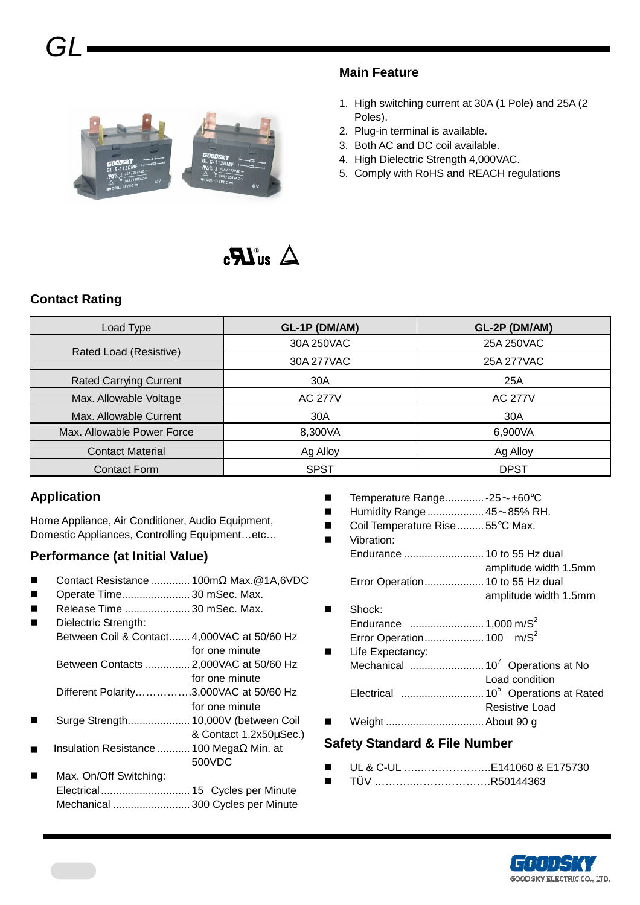

#### **Main Feature**

- 1. High switching current at 30A (1 Pole) and 25A (2 Poles).
- 2. Plug-in terminal is available.
- 3. Both AC and DC coil available.
- 4. High Dielectric Strength 4,000VAC.
- 5. Comply with RoHS and REACH regulations

## $\triangle$  au  $\boldsymbol{LR}_3$

#### **Contact Rating**

| Load Type                     | GL-1P (DM/AM)  | GL-2P (DM/AM)  |  |
|-------------------------------|----------------|----------------|--|
| Rated Load (Resistive)        | 30A 250VAC     | 25A 250VAC     |  |
|                               | 30A 277VAC     | 25A 277VAC     |  |
| <b>Rated Carrying Current</b> | 30A            | 25A            |  |
| Max. Allowable Voltage        | <b>AC 277V</b> | <b>AC 277V</b> |  |
| Max. Allowable Current        | 30A            | 30A            |  |
| Max. Allowable Power Force    | 8,300VA        | 6,900VA        |  |
| <b>Contact Material</b>       | Ag Alloy       | Ag Alloy       |  |
| <b>Contact Form</b>           | <b>SPST</b>    | <b>DPST</b>    |  |

#### **Application**

Home Appliance, Air Conditioner, Audio Equipment, Domestic Appliances, Controlling Equipment…etc…

#### **Performance (at Initial Value)**

- Contact Resistance ............. 100mΩ Max.@1A,6VDC
- Operate Time....................... 30 mSec. Max.
- Release Time ...................... 30 mSec. Max.
	- Dielectric Strength: Between Coil & Contact....... 4,000VAC at 50/60 Hz for one minute Between Contacts ............... 2,000VAC at 50/60 Hz for one minute Different Polarity…………….3,000VAC at 50/60 Hz for one minute Surge Strength..................... 10,000V (between Coil
- & Contact 1.2x50µSec.) Insulation Resistance ........... 100 MegaΩ Min. at 500VDC
- Max. On/Off Switching: Electrical.............................. 15 Cycles per Minute Mechanical .......................... 300 Cycles per Minute
- Temperature Range............. 25~+60°C
- Humidity Range ................... 45~85% RH.
- Coil Temperature Rise......... 55°C Max.
- Vibration: Endurance ........................... 10 to 55 Hz dual amplitude width 1.5mm Error Operation.................... 10 to 55 Hz dual amplitude width 1.5mm ■ Shock: Endurance ......................... 1,000 m/S<sup>2</sup> Error Operation.................... 100 m/S<sup>2</sup> **Life Expectancy:** Mechanical ......................... 10<sup>7</sup>Operations at No Load condition Electrical ............................ 10<sup>5</sup>Operations at Rated Resistive Load
- Weight ................................. About 90 g

#### **Safety Standard & File Number**

- UL & C-UL …..………………..E141060 & E175730
- TÜV ………..………………….R50144363